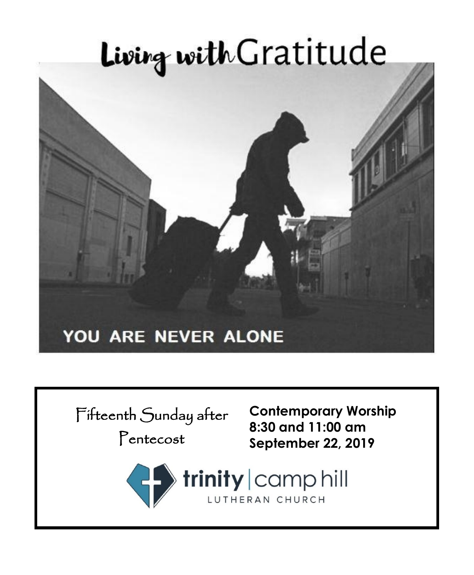# Living with Gratitude





**Contemporary Worship 8:30 and 11:00 am September 22, 2019**

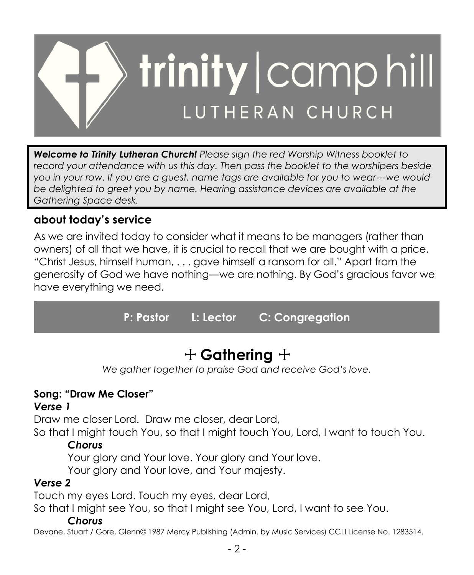

*Welcome to Trinity Lutheran Church! Please sign the red Worship Witness booklet to record your attendance with us this day. Then pass the booklet to the worshipers beside you in your row. If you are a guest, name tags are available for you to wear---we would be delighted to greet you by name. Hearing assistance devices are available at the Gathering Space desk.*

#### **about today's service**

As we are invited today to consider what it means to be managers (rather than owners) of all that we have, it is crucial to recall that we are bought with a price. "Christ Jesus, himself human, . . . gave himself a ransom for all." Apart from the generosity of God we have nothing—we are nothing. By God's gracious favor we have everything we need.

**P: Pastor L: Lector C: Congregation**

# + **Gathering** +

*We gather together to praise God and receive God's love.*

#### **Song: "Draw Me Closer"**

#### *Verse 1*

Draw me closer Lord. Draw me closer, dear Lord,

So that I might touch You, so that I might touch You, Lord, I want to touch You.

#### *Chorus*

Your glory and Your love. Your glory and Your love.

Your glory and Your love, and Your majesty.

#### *Verse 2*

Touch my eyes Lord. Touch my eyes, dear Lord,

So that I might see You, so that I might see You, Lord, I want to see You.

#### *Chorus*

Devane, Stuart / Gore, Glenn© 1987 Mercy Publishing (Admin. by Music Services) CCLI License No. 1283514.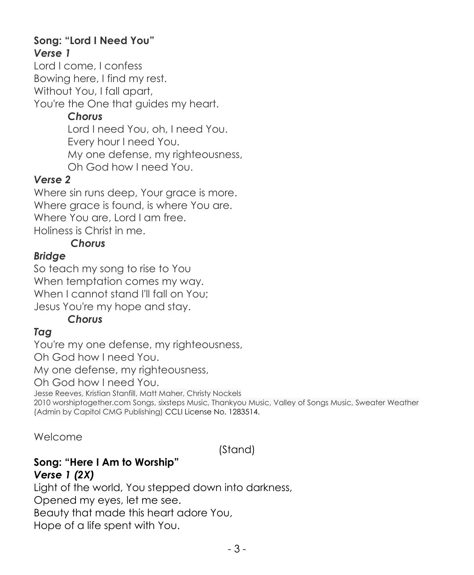#### **Song: "Lord I Need You"** *Verse 1*

Lord I come, I confess Bowing here, I find my rest. Without You, I fall apart, You're the One that guides my heart.

#### *Chorus*

Lord I need You, oh, I need You. Every hour I need You. My one defense, my righteousness, Oh God how I need You.

#### *Verse 2*

Where sin runs deep, Your grace is more. Where grace is found, is where You are. Where You are, Lord I am free. Holiness is Christ in me.

#### *Chorus*

#### *Bridge*

So teach my song to rise to You When temptation comes my way. When I cannot stand I'll fall on You: Jesus You're my hope and stay.

#### *Chorus*

#### *Tag*

You're my one defense, my righteousness, Oh God how I need You. My one defense, my righteousness, Oh God how I need You. Jesse Reeves, Kristian Stanfill, Matt Maher, Christy Nockels 2010 worshiptogether.com Songs, sixsteps Music, Thankyou Music, Valley of Songs Music, Sweater Weather (Admin by Capitol CMG Publishing) CCLI License No. 1283514.

Welcome

(Stand)

#### **Song: "Here I Am to Worship"** *Verse 1 (2X)*

Light of the world, You stepped down into darkness, Opened my eyes, let me see. Beauty that made this heart adore You, Hope of a life spent with You.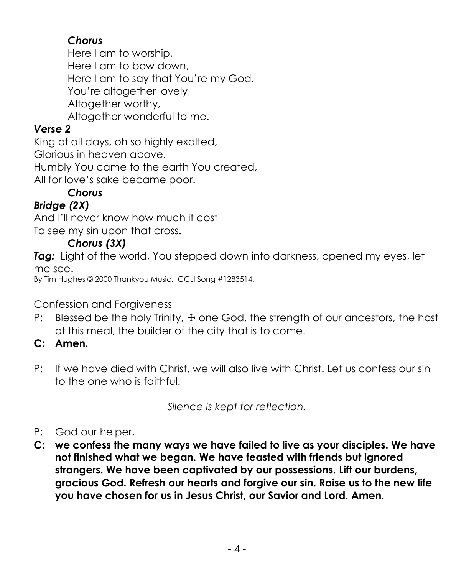#### *Chorus*

Here I am to worship,

Here I am to bow down,

Here I am to say that You're my God.

You're altogether lovely,

Altogether worthy,

Altogether wonderful to me.

### *Verse 2*

King of all days, oh so highly exalted,

Glorious in heaven above.

Humbly You came to the earth You created,

All for love's sake became poor.

## *Chorus*

### *Bridge (2X)*

And I'll never know how much it cost To see my sin upon that cross.

#### *Chorus (3X)*

*Tag:* Light of the world, You stepped down into darkness, opened my eyes, let me see.

By Tim Hughes © 2000 Thankyou Music. CCLI Song #1283514.

Confession and Forgiveness

- P: Blessed be the holy Trinity,  $\pm$  one God, the strength of our ancestors, the host of this meal, the builder of the city that is to come.
- **C: Amen.**
- P: If we have died with Christ, we will also live with Christ. Let us confess our sin to the one who is faithful.

*Silence is kept for reflection.*

- P: God our helper,
- **C: we confess the many ways we have failed to live as your disciples. We have not finished what we began. We have feasted with friends but ignored strangers. We have been captivated by our possessions. Lift our burdens, gracious God. Refresh our hearts and forgive our sin. Raise us to the new life you have chosen for us in Jesus Christ, our Savior and Lord. Amen.**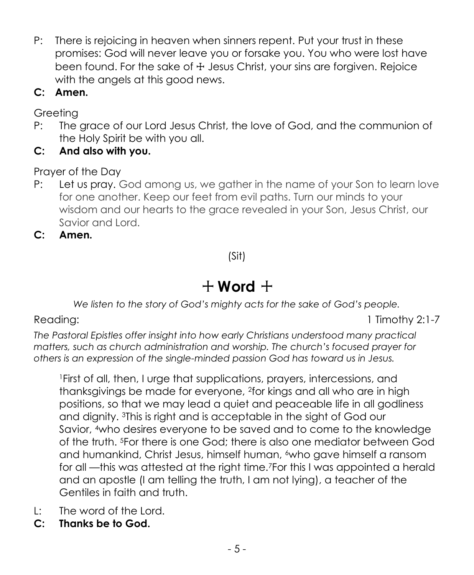- P: There is rejoicing in heaven when sinners repent. Put your trust in these promises: God will never leave you or forsake you. You who were lost have been found. For the sake of  $\pm$  Jesus Christ, your sins are forgiven. Rejoice with the angels at this good news.
- **C: Amen.**

Greeting

- P: The grace of our Lord Jesus Christ, the love of God, and the communion of the Holy Spirit be with you all.
- **C: And also with you.**

Prayer of the Day

P: Let us pray. God among us, we gather in the name of your Son to learn love for one another. Keep our feet from evil paths. Turn our minds to your wisdom and our hearts to the grace revealed in your Son, Jesus Christ, our Savior and Lord.

**C: Amen.**

(Sit)

# $+$  Word  $+$

*We listen to the story of God's mighty acts for the sake of God's people.*

Reading: 1 Timothy 2:1-7

*The Pastoral Epistles offer insight into how early Christians understood many practical matters, such as church administration and worship. The church's focused prayer for others is an expression of the single-minded passion God has toward us in Jesus.*

<sup>1</sup>First of all, then, I urge that supplications, prayers, intercessions, and thanksgivings be made for everyone, <sup>2</sup> for kings and all who are in high positions, so that we may lead a quiet and peaceable life in all godliness and dignity. <sup>3</sup>This is right and is acceptable in the sight of God our Savior, <sup>4</sup>who desires everyone to be saved and to come to the knowledge of the truth. <sup>5</sup>For there is one God; there is also one mediator between God and humankind, Christ Jesus, himself human, <sup>6</sup>who gave himself a ransom for all —this was attested at the right time.7For this I was appointed a herald and an apostle (I am telling the truth, I am not lying), a teacher of the Gentiles in faith and truth.

- L: The word of the Lord.
- **C: Thanks be to God.**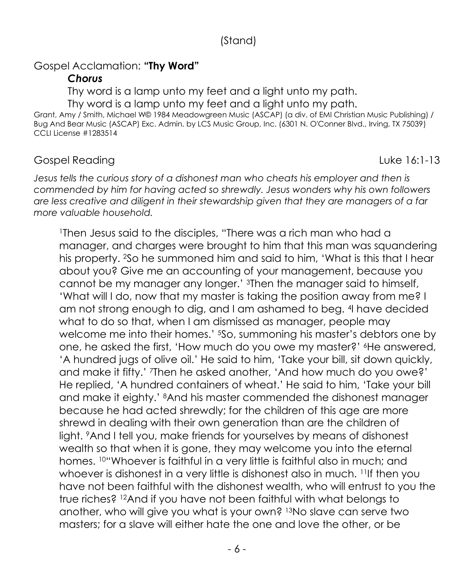Grant, Amy / Smith, Michael W© 1984 Meadowgreen Music (ASCAP) (a div. of EMI Christian Music Publishing) / Bug And Bear Music (ASCAP) Exc. Admin. by LCS Music Group, Inc. (6301 N. O'Conner Blvd., Irving, TX 75039)

#### Gospel Reading Luke 16:1-13

CCLI License #1283514

Jesus tells the curious story of a dishonest man who cheats his employer and then is *commended by him for having acted so shrewdly. Jesus wonders why his own followers are less creative and diligent in their stewardship given that they are managers of a far more valuable household.*

<sup>1</sup>Then Jesus said to the disciples, "There was a rich man who had a manager, and charges were brought to him that this man was squandering his property. <sup>2</sup>So he summoned him and said to him, 'What is this that I hear about you? Give me an accounting of your management, because you cannot be my manager any longer.' <sup>3</sup>Then the manager said to himself, 'What will I do, now that my master is taking the position away from me? I am not strong enough to dig, and I am ashamed to beg. <sup>4</sup> I have decided what to do so that, when I am dismissed as manager, people may welcome me into their homes.' <sup>5</sup>So, summoning his master's debtors one by one, he asked the first, 'How much do you owe my master?' <sup>6</sup>He answered, 'A hundred jugs of olive oil.' He said to him, 'Take your bill, sit down quickly, and make it fifty.' <sup>7</sup>Then he asked another, 'And how much do you owe?' He replied, 'A hundred containers of wheat.' He said to him, 'Take your bill and make it eighty.' <sup>8</sup>And his master commended the dishonest manager because he had acted shrewdly; for the children of this age are more shrewd in dealing with their own generation than are the children of light. <sup>9</sup>And I tell you, make friends for yourselves by means of dishonest wealth so that when it is gone, they may welcome you into the eternal homes. <sup>10</sup>"Whoever is faithful in a very little is faithful also in much; and whoever is dishonest in a very little is dishonest also in much. <sup>11</sup>If then you have not been faithful with the dishonest wealth, who will entrust to you the true riches? <sup>12</sup>And if you have not been faithful with what belongs to another, who will give you what is your own? <sup>13</sup>No slave can serve two masters; for a slave will either hate the one and love the other, or be

Thy word is a lamp unto my feet and a light unto my path. Thy word is a lamp unto my feet and a light unto my path.

*Chorus*

Gospel Acclamation: **"Thy Word"**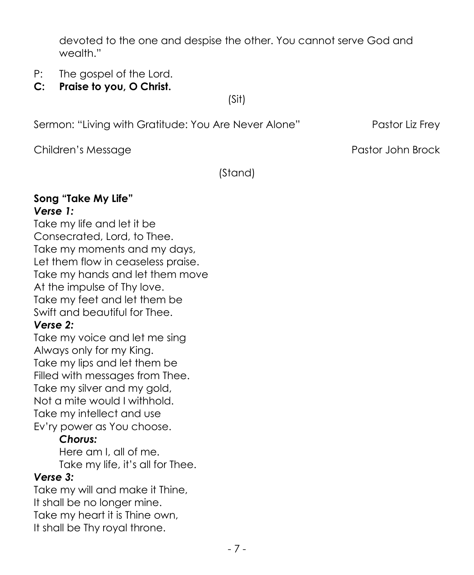devoted to the one and despise the other. You cannot serve God and wealth."

- P: The gospel of the Lord.
- **C: Praise to you, O Christ.**

(Sit)

Sermon: "Living with Gratitude: You Are Never Alone" Pastor Liz Frey

Children's Message Pastor John Brock (Pastor John Brock)

(Stand)

#### **Song "Take My Life"** *Verse 1:*

Take my life and let it be Consecrated, Lord, to Thee. Take my moments and my days, Let them flow in ceaseless praise. Take my hands and let them move At the impulse of Thy love. Take my feet and let them be Swift and beautiful for Thee.

#### *Verse 2:*

Take my voice and let me sing Always only for my King. Take my lips and let them be Filled with messages from Thee. Take my silver and my gold, Not a mite would I withhold. Take my intellect and use Ev'ry power as You choose.

#### *Chorus:*

Here am I, all of me. Take my life, it's all for Thee.

#### *Verse 3:*

Take my will and make it Thine, It shall be no longer mine. Take my heart it is Thine own, It shall be Thy royal throne.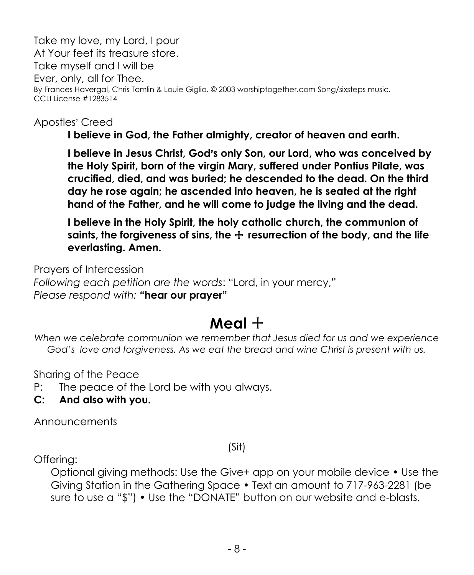Take my love, my Lord, I pour At Your feet its treasure store. Take myself and I will be Ever, only, all for Thee. By Frances Havergal, Chris Tomlin & Louie Giglio. © 2003 worshiptogether.com Song/sixsteps music. CCLI License #1283514

Apostles' Creed

**I believe in God, the Father almighty, creator of heaven and earth.**

**I believe in Jesus Christ, God's only Son, our Lord, who was conceived by the Holy Spirit, born of the virgin Mary, suffered under Pontius Pilate, was crucified, died, and was buried; he descended to the dead. On the third day he rose again; he ascended into heaven, he is seated at the right hand of the Father, and he will come to judge the living and the dead.**

**I believe in the Holy Spirit, the holy catholic church, the communion of saints, the forgiveness of sins, the** + **resurrection of the body, and the life everlasting. Amen.**

Prayers of Intercession *Following each petition are the words*: "Lord, in your mercy," *Please respond with:* **"hear our prayer"**

## **Meal** +

*When we celebrate communion we remember that Jesus died for us and we experience God's love and forgiveness. As we eat the bread and wine Christ is present with us.*

Sharing of the Peace

- P: The peace of the Lord be with you always.
- **C: And also with you.**

**Announcements** 

(Sit)

Offering:

Optional giving methods: Use the Give+ app on your mobile device • Use the Giving Station in the Gathering Space • Text an amount to 717-963-2281 (be sure to use a "\$") • Use the "DONATE" button on our website and e-blasts.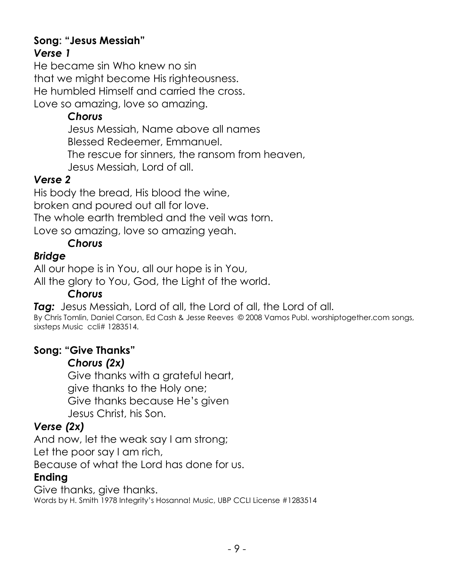#### **Song: "Jesus Messiah"** *Verse 1*

He became sin Who knew no sin that we might become His righteousness. He humbled Himself and carried the cross. Love so amazing, love so amazing.

#### *Chorus*

Jesus Messiah, Name above all names Blessed Redeemer, Emmanuel. The rescue for sinners, the ransom from heaven, Jesus Messiah, Lord of all.

#### *Verse 2*

His body the bread, His blood the wine, broken and poured out all for love. The whole earth trembled and the veil was torn. Love so amazing, love so amazing yeah.

#### *Chorus*

#### *Bridge*

All our hope is in You, all our hope is in You, All the glory to You, God, the Light of the world.

#### *Chorus*

**Tag:** Jesus Messiah, Lord of all, the Lord of all, the Lord of all.

By Chris Tomlin, Daniel Carson, Ed Cash & Jesse Reeves © 2008 Vamos Publ. worshiptogether.com songs, sixsteps Music ccli# 1283514.

#### **Song: "Give Thanks"**

#### *Chorus (2x)*

Give thanks with a grateful heart, give thanks to the Holy one; Give thanks because He's given Jesus Christ, his Son.

#### *Verse (2x)*

And now, let the weak say I am strong;

Let the poor say I am rich,

Because of what the Lord has done for us.

#### **Ending**

Give thanks, give thanks. Words by H. Smith 1978 Integrity's Hosanna! Music, UBP CCLI License #1283514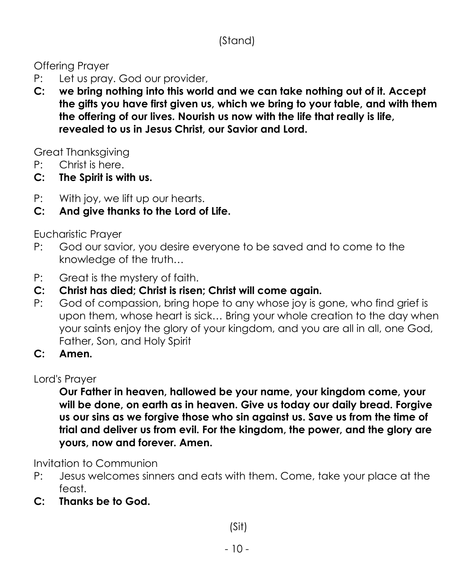#### (Stand)

Offering Prayer

- P: Let us pray. God our provider,
- **C: we bring nothing into this world and we can take nothing out of it. Accept the gifts you have first given us, which we bring to your table, and with them the offering of our lives. Nourish us now with the life that really is life, revealed to us in Jesus Christ, our Savior and Lord.**

Great Thanksgiving

- P: Christ is here.
- **C: The Spirit is with us.**
- P: With joy, we lift up our hearts.
- **C: And give thanks to the Lord of Life.**

Eucharistic Prayer

- P: God our savior, you desire everyone to be saved and to come to the knowledge of the truth…
- P: Great is the mystery of faith.
- **C: Christ has died; Christ is risen; Christ will come again.**
- P: God of compassion, bring hope to any whose joy is gone, who find grief is upon them, whose heart is sick… Bring your whole creation to the day when your saints enjoy the glory of your kingdom, and you are all in all, one God, Father, Son, and Holy Spirit
- **C: Amen.**

Lord's Prayer

**Our Father in heaven, hallowed be your name, your kingdom come, your will be done, on earth as in heaven. Give us today our daily bread. Forgive us our sins as we forgive those who sin against us. Save us from the time of trial and deliver us from evil. For the kingdom, the power, and the glory are yours, now and forever. Amen.**

Invitation to Communion

- P: Jesus welcomes sinners and eats with them. Come, take your place at the feast.
- **C: Thanks be to God.**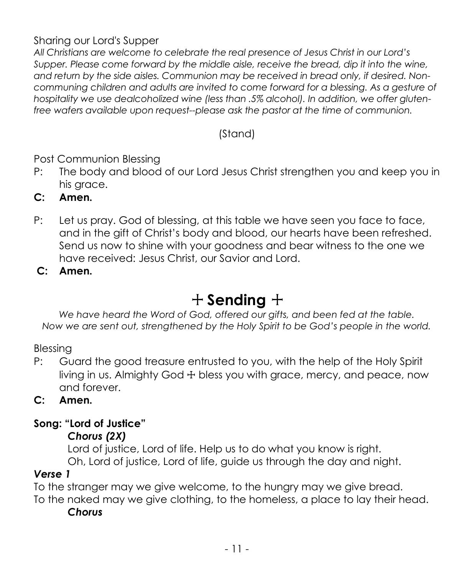#### Sharing our Lord's Supper

*All Christians are welcome to celebrate the real presence of Jesus Christ in our Lord's Supper. Please come forward by the middle aisle, receive the bread, dip it into the wine, and return by the side aisles. Communion may be received in bread only, if desired. Noncommuning children and adults are invited to come forward for a blessing. As a gesture of hospitality we use dealcoholized wine (less than .5% alcohol). In addition, we offer glutenfree wafers available upon request--please ask the pastor at the time of communion.*

(Stand)

Post Communion Blessing

- P: The body and blood of our Lord Jesus Christ strengthen you and keep you in his grace.
- **C: Amen.**
- P: Let us pray. God of blessing, at this table we have seen you face to face, and in the gift of Christ's body and blood, our hearts have been refreshed. Send us now to shine with your goodness and bear witness to the one we have received: Jesus Christ, our Savior and Lord.
- **C: Amen.**

# + **Sending** +

*We have heard the Word of God, offered our gifts, and been fed at the table. Now we are sent out, strengthened by the Holy Spirit to be God's people in the world.*

#### Blessing

- P: Guard the good treasure entrusted to you, with the help of the Holy Spirit living in us. Almighty God  $\pm$  bless you with grace, mercy, and peace, now and forever.
- **C: Amen.**

#### **Song: "Lord of Justice"**

#### *Chorus (2X)*

Lord of justice, Lord of life. Help us to do what you know is right. Oh, Lord of justice, Lord of life, guide us through the day and night.

#### *Verse 1*

To the stranger may we give welcome, to the hungry may we give bread. To the naked may we give clothing, to the homeless, a place to lay their head.

#### *Chorus*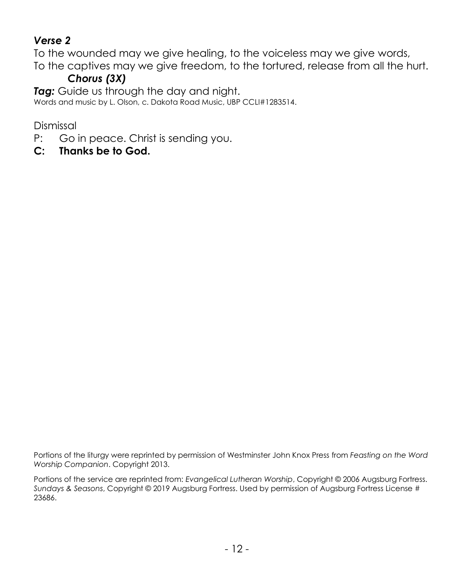#### *Verse 2*

To the wounded may we give healing, to the voiceless may we give words, To the captives may we give freedom, to the tortured, release from all the hurt.

#### *Chorus (3X)*

*Tag: Guide us through the day and night.* Words and music by L. Olson, c. Dakota Road Music, UBP CCLI#1283514.

Dismissal

- P: Go in peace. Christ is sending you.
- **C: Thanks be to God.**

Portions of the liturgy were reprinted by permission of Westminster John Knox Press from *Feasting on the Word Worship Companion*. Copyright 2013.

Portions of the service are reprinted from: *Evangelical Lutheran Worship*, Copyright © 2006 Augsburg Fortress. *Sundays & Seasons*, Copyright © 2019 Augsburg Fortress. Used by permission of Augsburg Fortress License # 23686.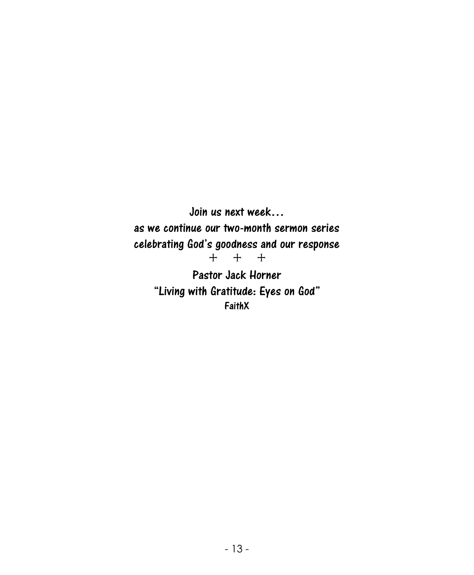Join us next week… as we continue our two-month sermon series celebrating God's goodness and our response + + +

Pastor Jack Horner "Living with Gratitude: Eyes on God" FaithX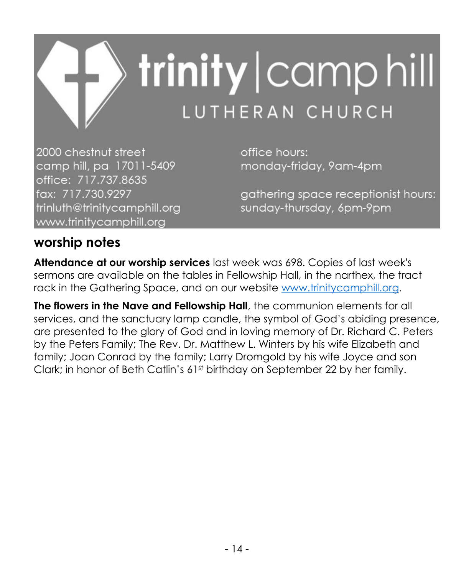

2000 chestnut street camp hill, pa 17011-5409 office: 717.737.8635 fax: 717.730.9297 trinluth@trinitycamphill.org www.trinitycamphill.org

office hours: monday-friday, 9am-4pm

gathering space receptionist hours: sunday-thursday, 6pm-9pm

### **worship notes**

**Attendance at our worship services** last week was 698. Copies of last week's sermons are available on the tables in Fellowship Hall, in the narthex, the tract rack in the Gathering Space, and on our website [www.trinitycamphill.org.](http://www.trinitycamphill.org/)

**The flowers in the Nave and Fellowship Hall**, the communion elements for all services, and the sanctuary lamp candle, the symbol of God's abiding presence, are presented to the glory of God and in loving memory of Dr. Richard C. Peters by the Peters Family; The Rev. Dr. Matthew L. Winters by his wife Elizabeth and family; Joan Conrad by the family; Larry Dromgold by his wife Joyce and son Clark; in honor of Beth Catlin's 61st birthday on September 22 by her family.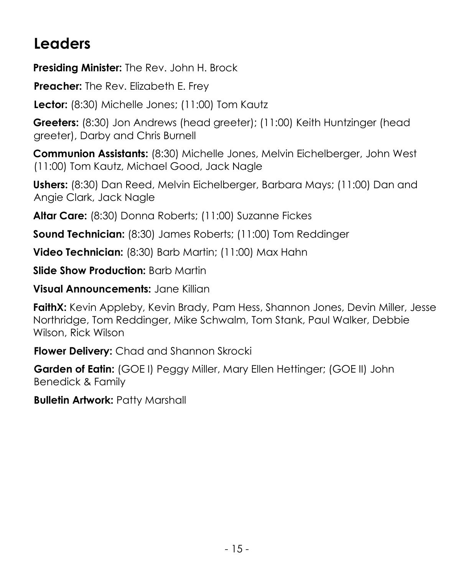# **Leaders**

**Presiding Minister:** The Rev. John H. Brock

**Preacher:** The Rev. Elizabeth E. Frey

**Lector:** (8:30) Michelle Jones; (11:00) Tom Kautz

**Greeters:** (8:30) Jon Andrews (head greeter); (11:00) Keith Huntzinger (head greeter), Darby and Chris Burnell

**Communion Assistants:** (8:30) Michelle Jones, Melvin Eichelberger, John West (11:00) Tom Kautz, Michael Good, Jack Nagle

**Ushers:** (8:30) Dan Reed, Melvin Eichelberger, Barbara Mays; (11:00) Dan and Angie Clark, Jack Nagle

**Altar Care:** (8:30) Donna Roberts; (11:00) Suzanne Fickes

**Sound Technician:** (8:30) James Roberts; (11:00) Tom Reddinger

**Video Technician:** (8:30) Barb Martin; (11:00) Max Hahn

**Slide Show Production:** Barb Martin

**Visual Announcements:** Jane Killian

**FaithX:** Kevin Appleby, Kevin Brady, Pam Hess, Shannon Jones, Devin Miller, Jesse Northridge, Tom Reddinger, Mike Schwalm, Tom Stank, Paul Walker, Debbie Wilson, Rick Wilson

**Flower Delivery:** Chad and Shannon Skrocki

**Garden of Eatin:** (GOE I) Peggy Miller, Mary Ellen Hettinger; (GOE II) John Benedick & Family

**Bulletin Artwork: Patty Marshall**